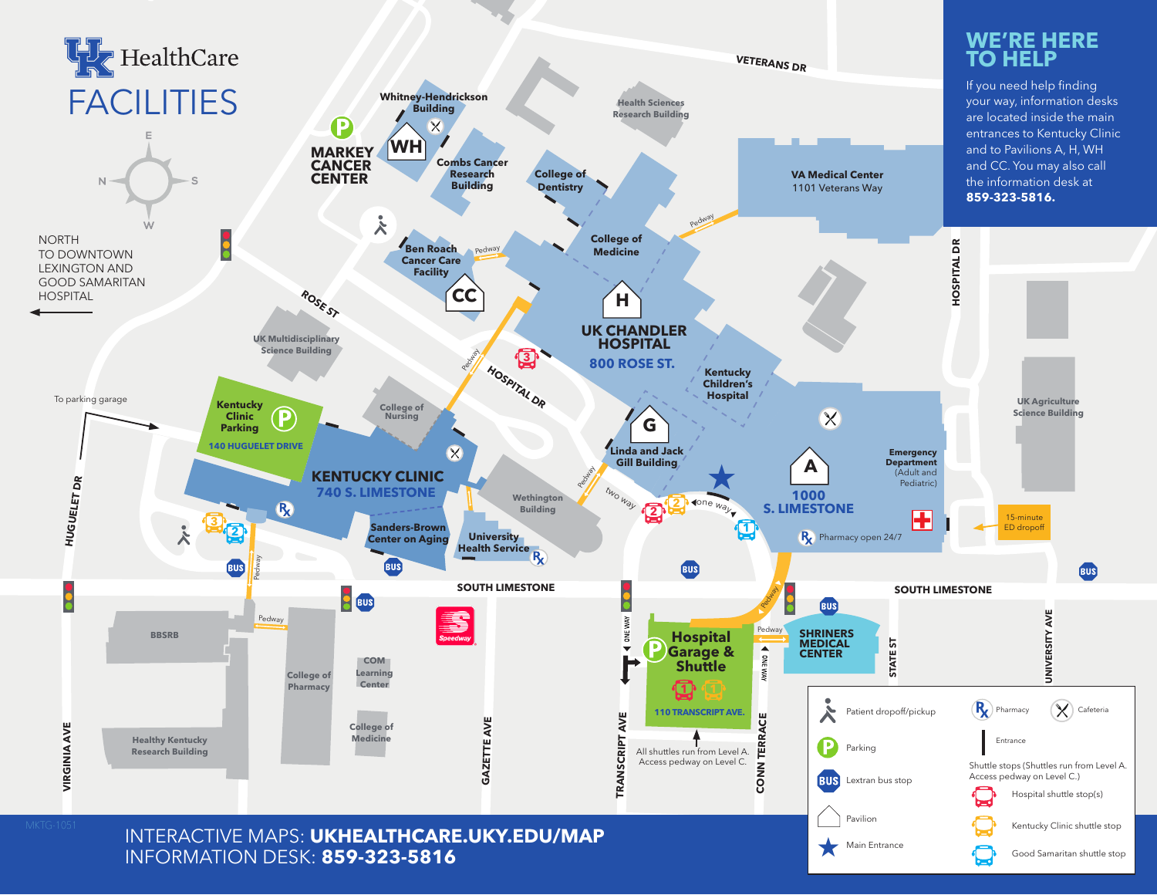